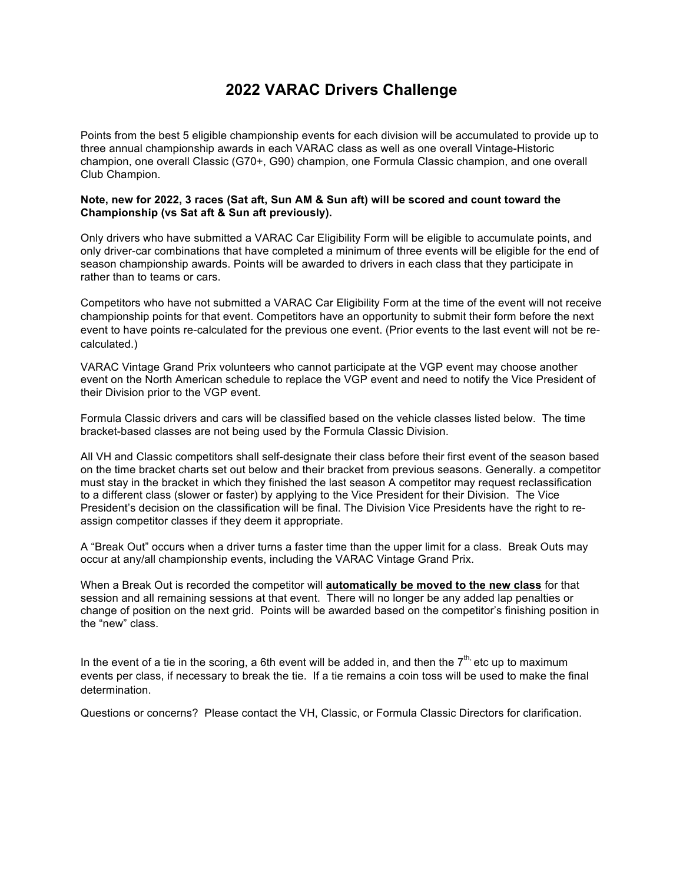# **2022 VARAC Drivers Challenge**

Points from the best 5 eligible championship events for each division will be accumulated to provide up to three annual championship awards in each VARAC class as well as one overall Vintage-Historic champion, one overall Classic (G70+, G90) champion, one Formula Classic champion, and one overall Club Champion.

#### **Note, new for 2022, 3 races (Sat aft, Sun AM & Sun aft) will be scored and count toward the Championship (vs Sat aft & Sun aft previously).**

Only drivers who have submitted a VARAC Car Eligibility Form will be eligible to accumulate points, and only driver-car combinations that have completed a minimum of three events will be eligible for the end of season championship awards. Points will be awarded to drivers in each class that they participate in rather than to teams or cars.

Competitors who have not submitted a VARAC Car Eligibility Form at the time of the event will not receive championship points for that event. Competitors have an opportunity to submit their form before the next event to have points re-calculated for the previous one event. (Prior events to the last event will not be recalculated.)

VARAC Vintage Grand Prix volunteers who cannot participate at the VGP event may choose another event on the North American schedule to replace the VGP event and need to notify the Vice President of their Division prior to the VGP event.

Formula Classic drivers and cars will be classified based on the vehicle classes listed below. The time bracket-based classes are not being used by the Formula Classic Division.

All VH and Classic competitors shall self-designate their class before their first event of the season based on the time bracket charts set out below and their bracket from previous seasons. Generally. a competitor must stay in the bracket in which they finished the last season A competitor may request reclassification to a different class (slower or faster) by applying to the Vice President for their Division. The Vice President's decision on the classification will be final. The Division Vice Presidents have the right to reassign competitor classes if they deem it appropriate.

A "Break Out" occurs when a driver turns a faster time than the upper limit for a class. Break Outs may occur at any/all championship events, including the VARAC Vintage Grand Prix.

When a Break Out is recorded the competitor will **automatically be moved to the new class** for that session and all remaining sessions at that event. There will no longer be any added lap penalties or change of position on the next grid. Points will be awarded based on the competitor's finishing position in the "new" class.

In the event of a tie in the scoring, a 6th event will be added in, and then the  $7<sup>th</sup>$ , etc up to maximum events per class, if necessary to break the tie. If a tie remains a coin toss will be used to make the final determination.

Questions or concerns? Please contact the VH, Classic, or Formula Classic Directors for clarification.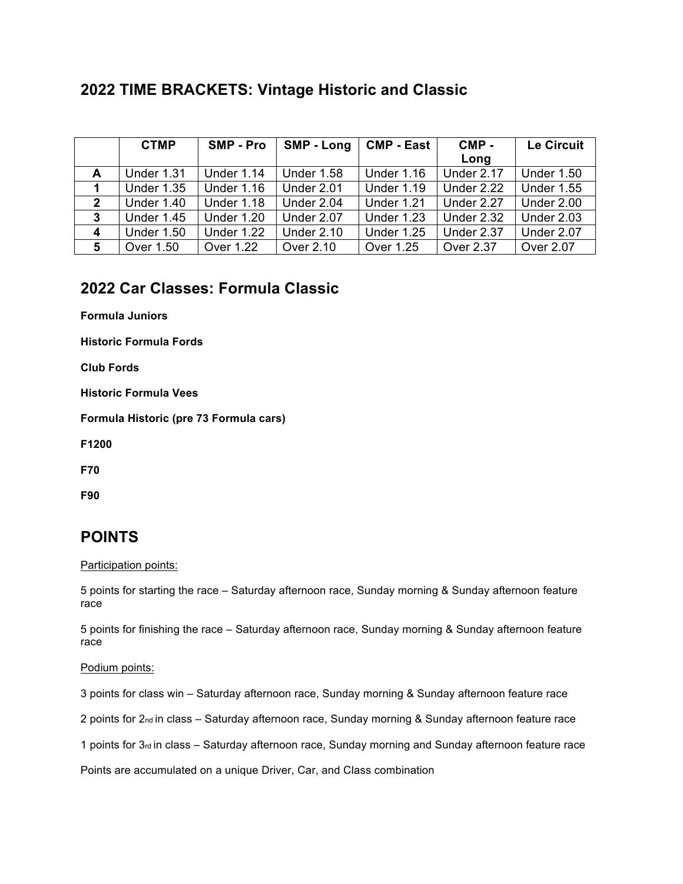# **2022 TIME BRACKETS: Vintage Historic and Classic**

|                  | <b>CTMP</b>       | <b>SMP - Pro</b>  | <b>SMP - Long</b> | <b>CMP - East</b> | CMP-       | <b>Le Circuit</b> |
|------------------|-------------------|-------------------|-------------------|-------------------|------------|-------------------|
|                  |                   |                   |                   |                   | Long       |                   |
| A                | Under 1.31        | <b>Under 1.14</b> | <b>Under 1.58</b> | <b>Under 1.16</b> | Under 2.17 | <b>Under 1.50</b> |
|                  | <b>Under 1.35</b> | <b>Under 1.16</b> | Under 2.01        | <b>Under 1.19</b> | Under 2.22 | <b>Under 1.55</b> |
| $\boldsymbol{2}$ | <b>Under 1.40</b> | <b>Under 1.18</b> | Under 2.04        | Under 1.21        | Under 2.27 | Under 2.00        |
| 3                | <b>Under 1.45</b> | <b>Under 1.20</b> | Under 2.07        | <b>Under 1.23</b> | Under 2.32 | Under 2.03        |
| $\boldsymbol{4}$ | <b>Under 1.50</b> | <b>Under 1.22</b> | <b>Under 2.10</b> | <b>Under 1.25</b> | Under 2.37 | Under 2.07        |
| 5                | Over 1.50         | Over 1.22         | Over 2.10         | Over 1.25         | Over 2.37  | Over 2.07         |

## **2022 Car Classes: Formula Classic**

**Formula Juniors**

**Historic Formula Fords**

**Club Fords**

**Historic Formula Vees**

**Formula Historic (pre 73 Formula cars)**

**F1200**

**F70**

**F90**

## **POINTS**

Participation points:

5 points for starting the race – Saturday afternoon race, Sunday morning & Sunday afternoon feature race

5 points for finishing the race – Saturday afternoon race, Sunday morning & Sunday afternoon feature race

Podium points:

3 points for class win – Saturday afternoon race, Sunday morning & Sunday afternoon feature race

2 points for 2<sub>nd</sub> in class – Saturday afternoon race, Sunday morning & Sunday afternoon feature race

1 points for 3rd in class – Saturday afternoon race, Sunday morning and Sunday afternoon feature race

Points are accumulated on a unique Driver, Car, and Class combination